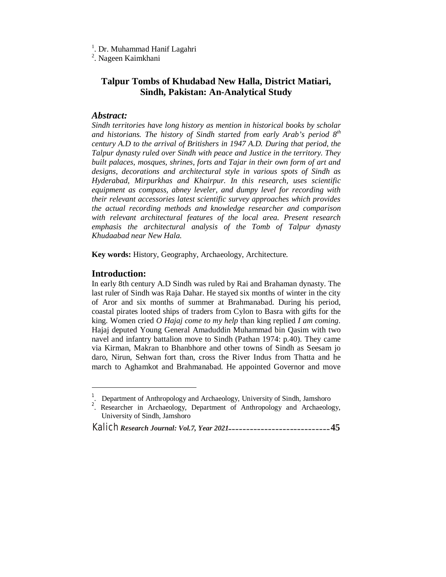<sup>1</sup>. Dr. Muhammad Hanif Lagahri

<sup>2</sup>. Nageen Kaimkhani

# **Talpur Tombs of Khudabad New Halla, District Matiari, Sindh, Pakistan: An-Analytical Study**

### *Abstract:*

*Sindh territories have long history as mention in historical books by scholar and historians. The history of Sindh started from early Arab's period 8th century A.D to the arrival of Britishers in 1947 A.D. During that period, the Talpur dynasty ruled over Sindh with peace and Justice in the territory. They built palaces, mosques, shrines, forts and Tajar in their own form of art and designs, decorations and architectural style in various spots of Sindh as Hyderabad, Mirpurkhas and Khairpur. In this research, uses scientific equipment as compass, abney leveler, and dumpy level for recording with their relevant accessories latest scientific survey approaches which provides the actual recording methods and knowledge researcher and comparison with relevant architectural features of the local area. Present research emphasis the architectural analysis of the Tomb of Talpur dynasty Khudaabad near New Hala.* 

**Key words:** History, Geography, Archaeology, Architecture.

### **Introduction:**

 $\overline{a}$ 

In early 8th century A.D Sindh was ruled by Rai and Brahaman dynasty. The last ruler of Sindh was Raja Dahar. He stayed six months of winter in the city of Aror and six months of summer at Brahmanabad. During his period, coastal pirates looted ships of traders from Cylon to Basra with gifts for the king. Women cried *O Hajaj come to my help* than king replied *I am coming*. Hajaj deputed Young General Amaduddin Muhammad bin Qasim with two navel and infantry battalion move to Sindh (Pathan 1974: p.40). They came via Kirman, Makran to Bhanbhore and other towns of Sindh as Seesam jo daro, Nirun, Sehwan fort than, cross the River Indus from Thatta and he march to Aghamkot and Brahmanabad. He appointed Governor and move

<sup>&</sup>lt;sup>1</sup>. Department of Anthropology and Archaeology, University of Sindh, Jamshoro

<sup>&</sup>lt;sup>2</sup>. Researcher in Archaeology, Department of Anthropology and Archaeology, University of Sindh, Jamshoro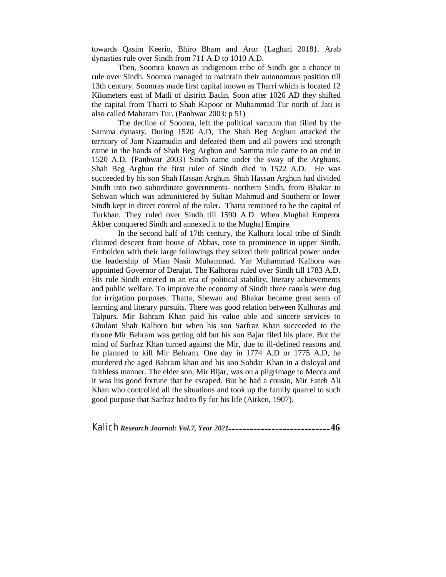towards Qasim Keerio, Bhiro Bham and Aror {Laghari 2018}. Arab dynasties rule over Sindh from 711 A.D to 1010 A.D.

Then, Soomra known as indigenous tribe of Sindh got a chance to rule over Sindh. Soomra managed to maintain their autonomous position till 13th century. Soomras made first capital known as Tharri which is located 12 Kilometers east of Matli of district Badin. Soon after 1026 AD they shifted the capital from Tharri to Shah Kapoor or Muhammad Tur north of Jati is also called Mahatam Tur. (Panhwar 2003: p 51)

The decline of Soomra, left the political vacuum that filled by the Samma dynasty. During 1520 A.D, The Shah Beg Arghun attacked the territory of Jam Nizamudin and defeated them and all powers and strength came in the hands of Shah Beg Arghun and Samma rule came to an end in 1520 A.D. {Panhwar 2003} Sindh came under the sway of the Arghuns. Shah Beg Arghun the first ruler of Sindh died in 1522 A.D. He was succeeded by his son Shah Hassan Arghun. Shah Hassan Arghun had divided Sindh into two subordinate governments- northern Sindh, from Bhakar to Sehwan which was administered by Sultan Mahmud and Southern or lower Sindh kept in direct control of the ruler. Thatta remained to be the capital of Turkhan. They ruled over Sindh till 1590 A.D. When Mughal Emperor Akber conquered Sindh and annexed it to the Mughal Empire.

In the second half of 17th century, the Kalhora local tribe of Sindh claimed descent from house of Abbas, rose to prominence in upper Sindh. Embolden with their large followings they seized their political power under the leadership of Mian Nasir Muhammad. Yar Muhammad Kalhora was appointed Governor of Derajat. The Kalhoras ruled over Sindh till 1783 A.D. His rule Sindh entered in an era of political stability, literary achievements and public welfare. To improve the economy of Sindh three canals were dug for irrigation purposes. Thatta, Shewan and Bhakar became great seats of learning and literary pursuits. There was good relation between Kalhoras and Talpurs. Mir Bahram Khan paid his value able and sincere services to Ghulam Shah Kalhoro but when his son Sarfraz Khan succeeded to the throne Mir Behram was getting old but his son Bajar filed his place. But the mind of Sarfraz Khan turned against the Mir, due to ill-defined reasons and he planned to kill Mir Behram. One day in 1774 A.D or 1775 A.D, he murdered the aged Bahram khan and his son Sobdar Khan in a disloyal and faithless manner. The elder son, Mir Bijar, was on a pilgrimage to Mecca and it was his good fortune that he escaped. But he had a cousin, Mir Fateh Ali Khan who controlled all the situations and took up the family quarrel to such good purpose that Sarfraz had to fly for his life (Aitken, 1907).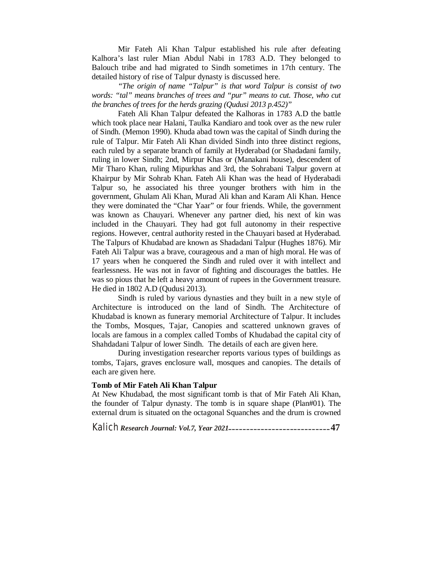Mir Fateh Ali Khan Talpur established his rule after defeating Kalhora's last ruler Mian Abdul Nabi in 1783 A.D. They belonged to Balouch tribe and had migrated to Sindh sometimes in 17th century. The detailed history of rise of Talpur dynasty is discussed here.

*"The origin of name "Talpur" is that word Talpur is consist of two words: "tal" means branches of trees and "pur" means to cut. Those, who cut the branches of trees for the herds grazing (Qudusi 2013 p.452)"*

Fateh Ali Khan Talpur defeated the Kalhoras in 1783 A.D the battle which took place near Halani, Taulka Kandiaro and took over as the new ruler of Sindh. (Memon 1990). Khuda abad town was the capital of Sindh during the rule of Talpur. Mir Fateh Ali Khan divided Sindh into three distinct regions, each ruled by a separate branch of family at Hyderabad (or Shadadani family, ruling in lower Sindh; 2nd, Mirpur Khas or (Manakani house), descendent of Mir Tharo Khan, ruling Mipurkhas and 3rd, the Sohrabani Talpur govern at Khairpur by Mir Sohrab Khan. Fateh Ali Khan was the head of Hyderabadi Talpur so, he associated his three younger brothers with him in the government, Ghulam Ali Khan, Murad Ali khan and Karam Ali Khan. Hence they were dominated the "Char Yaar" or four friends. While, the government was known as Chauyari. Whenever any partner died, his next of kin was included in the Chauyari. They had got full autonomy in their respective regions. However, central authority rested in the Chauyari based at Hyderabad. The Talpurs of Khudabad are known as Shadadani Talpur (Hughes 1876). Mir Fateh Ali Talpur was a brave, courageous and a man of high moral. He was of 17 years when he conquered the Sindh and ruled over it with intellect and fearlessness. He was not in favor of fighting and discourages the battles. He was so pious that he left a heavy amount of rupees in the Government treasure. He died in 1802 A.D (Qudusi 2013).

Sindh is ruled by various dynasties and they built in a new style of Architecture is introduced on the land of Sindh. The Architecture of Khudabad is known as funerary memorial Architecture of Talpur. It includes the Tombs, Mosques, Tajar, Canopies and scattered unknown graves of locals are famous in a complex called Tombs of Khudabad the capital city of Shahdadani Talpur of lower Sindh. The details of each are given here.

During investigation researcher reports various types of buildings as tombs, Tajars, graves enclosure wall, mosques and canopies. The details of each are given here.

#### **Tomb of Mir Fateh Ali Khan Talpur**

At New Khudabad, the most significant tomb is that of Mir Fateh Ali Khan, the founder of Talpur dynasty. The tomb is in square shape (Plan#01). The external drum is situated on the octagonal Squanches and the drum is crowned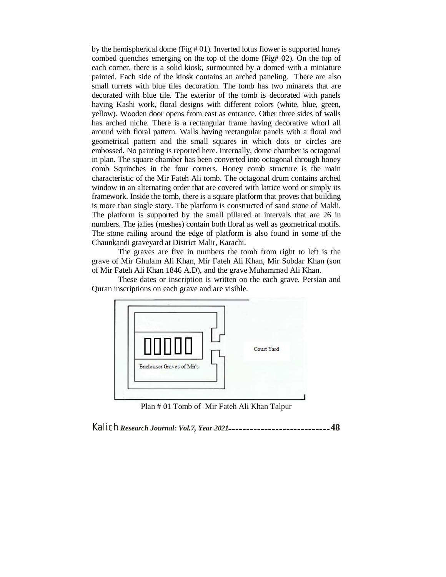by the hemispherical dome (Fig # 01). Inverted lotus flower is supported honey combed quenches emerging on the top of the dome (Fig# 02). On the top of each corner, there is a solid kiosk, surmounted by a domed with a miniature painted. Each side of the kiosk contains an arched paneling. There are also small turrets with blue tiles decoration. The tomb has two minarets that are decorated with blue tile. The exterior of the tomb is decorated with panels having Kashi work, floral designs with different colors (white, blue, green, yellow). Wooden door opens from east as entrance. Other three sides of walls has arched niche. There is a rectangular frame having decorative whorl all around with floral pattern. Walls having rectangular panels with a floral and geometrical pattern and the small squares in which dots or circles are embossed. No painting is reported here. Internally, dome chamber is octagonal in plan. The square chamber has been converted into octagonal through honey comb Squinches in the four corners. Honey comb structure is the main characteristic of the Mir Fateh Ali tomb. The octagonal drum contains arched window in an alternating order that are covered with lattice word or simply its framework. Inside the tomb, there is a square platform that proves that building is more than single story. The platform is constructed of sand stone of Makli. The platform is supported by the small pillared at intervals that are 26 in numbers. The jalies (meshes) contain both floral as well as geometrical motifs. The stone railing around the edge of platform is also found in some of the Chaunkandi graveyard at District Malir, Karachi.

The graves are five in numbers the tomb from right to left is the grave of Mir Ghulam Ali Khan, Mir Fateh Ali Khan, Mir Sobdar Khan (son of Mir Fateh Ali Khan 1846 A.D), and the grave Muhammad Ali Khan.

These dates or inscription is written on the each grave. Persian and Quran inscriptions on each grave and are visible.



Plan # 01 Tomb of Mir Fateh Ali Khan Talpur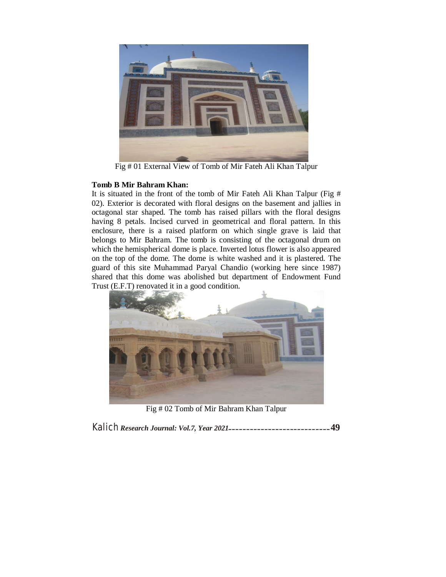

Fig # 01 External View of Tomb of Mir Fateh Ali Khan Talpur

### **Tomb B Mir Bahram Khan:**

It is situated in the front of the tomb of Mir Fateh Ali Khan Talpur (Fig # 02). Exterior is decorated with floral designs on the basement and jallies in octagonal star shaped. The tomb has raised pillars with the floral designs having 8 petals. Incised curved in geometrical and floral pattern. In this enclosure, there is a raised platform on which single grave is laid that belongs to Mir Bahram. The tomb is consisting of the octagonal drum on which the hemispherical dome is place. Inverted lotus flower is also appeared on the top of the dome. The dome is white washed and it is plastered. The guard of this site Muhammad Paryal Chandio (working here since 1987) shared that this dome was abolished but department of Endowment Fund Trust (E.F.T) renovated it in a good condition.



Fig # 02 Tomb of Mir Bahram Khan Talpur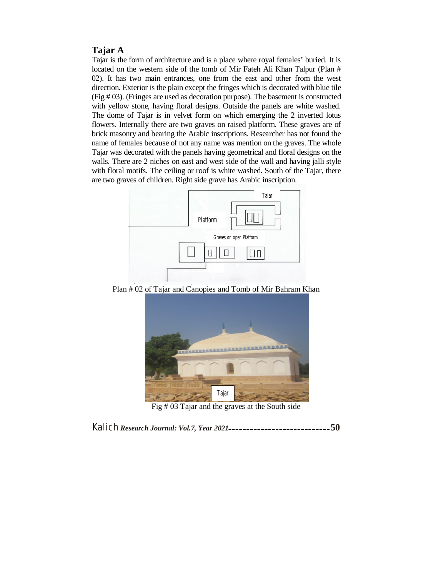### **Tajar A**

Tajar is the form of architecture and is a place where royal females' buried. It is located on the western side of the tomb of Mir Fateh Ali Khan Talpur (Plan # 02). It has two main entrances, one from the east and other from the west direction. Exterior is the plain except the fringes which is decorated with blue tile (Fig # 03). (Fringes are used as decoration purpose). The basement is constructed with yellow stone, having floral designs. Outside the panels are white washed. The dome of Tajar is in velvet form on which emerging the 2 inverted lotus flowers. Internally there are two graves on raised platform. These graves are of brick masonry and bearing the Arabic inscriptions. Researcher has not found the name of females because of not any name was mention on the graves. The whole Tajar was decorated with the panels having geometrical and floral designs on the walls. There are 2 niches on east and west side of the wall and having jalli style with floral motifs. The ceiling or roof is white washed. South of the Tajar, there are two graves of children. Right side grave has Arabic inscription.



Plan # 02 of Tajar and Canopies and Tomb of Mir Bahram Khan



Fig # 03 Tajar and the graves at the South side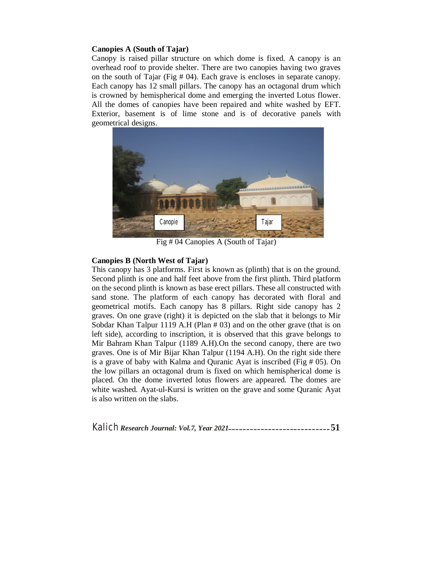#### **Canopies A (South of Tajar)**

Canopy is raised pillar structure on which dome is fixed. A canopy is an overhead roof to provide shelter. There are two canopies having two graves on the south of Tajar (Fig # 04). Each grave is encloses in separate canopy. Each canopy has 12 small pillars. The canopy has an octagonal drum which is crowned by hemispherical dome and emerging the inverted Lotus flower. All the domes of canopies have been repaired and white washed by EFT. Exterior, basement is of lime stone and is of decorative panels with geometrical designs.



Fig # 04 Canopies A (South of Tajar)

#### **Canopies B (North West of Tajar)**

This canopy has 3 platforms. First is known as (plinth) that is on the ground. Second plinth is one and half feet above from the first plinth. Third platform on the second plinth is known as base erect pillars. These all constructed with sand stone. The platform of each canopy has decorated with floral and geometrical motifs. Each canopy has 8 pillars. Right side canopy has 2 graves. On one grave (right) it is depicted on the slab that it belongs to Mir Sobdar Khan Talpur 1119 A.H (Plan # 03) and on the other grave (that is on left side), according to inscription, it is observed that this grave belongs to Mir Bahram Khan Talpur (1189 A.H).On the second canopy, there are two graves. One is of Mir Bijar Khan Talpur (1194 A.H). On the right side there is a grave of baby with Kalma and Quranic Ayat is inscribed (Fig # 05). On the low pillars an octagonal drum is fixed on which hemispherical dome is placed. On the dome inverted lotus flowers are appeared. The domes are white washed. Ayat-ul-Kursi is written on the grave and some Quranic Ayat is also written on the slabs.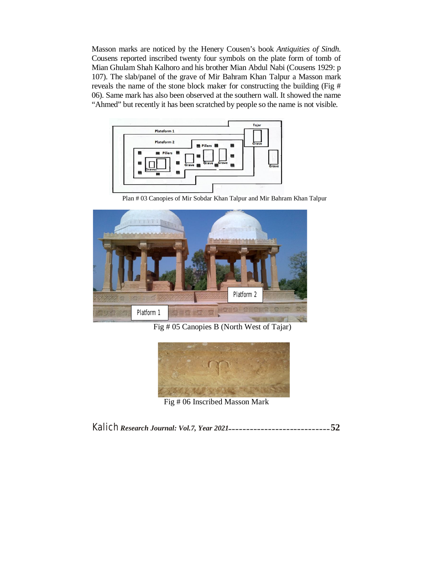Masson marks are noticed by the Henery Cousen's book *Antiquities of Sindh*. Cousens reported inscribed twenty four symbols on the plate form of tomb of Mian Ghulam Shah Kalhoro and his brother Mian Abdul Nabi (Cousens 1929: p 107). The slab/panel of the grave of Mir Bahram Khan Talpur a Masson mark reveals the name of the stone block maker for constructing the building (Fig # 06). Same mark has also been observed at the southern wall. It showed the name "Ahmed" but recently it has been scratched by people so the name is not visible.



Plan # 03 Canopies of Mir Sobdar Khan Talpur and Mir Bahram Khan Talpur



Fig # 05 Canopies B (North West of Tajar)



Fig # 06 Inscribed Masson Mark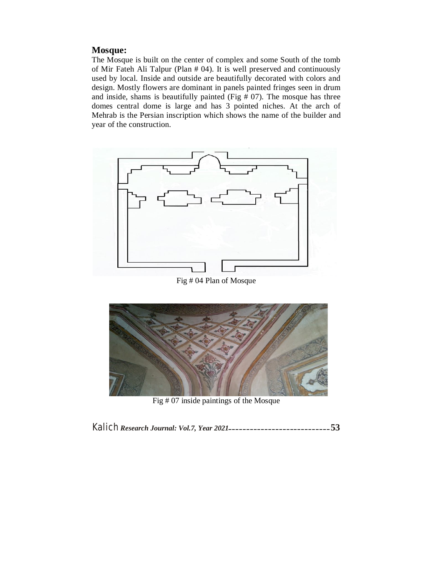### **Mosque:**

The Mosque is built on the center of complex and some South of the tomb of Mir Fateh Ali Talpur (Plan # 04). It is well preserved and continuously used by local. Inside and outside are beautifully decorated with colors and design. Mostly flowers are dominant in panels painted fringes seen in drum and inside, shams is beautifully painted (Fig  $# 07$ ). The mosque has three domes central dome is large and has 3 pointed niches. At the arch of Mehrab is the Persian inscription which shows the name of the builder and year of the construction.





Fig # 07 inside paintings of the Mosque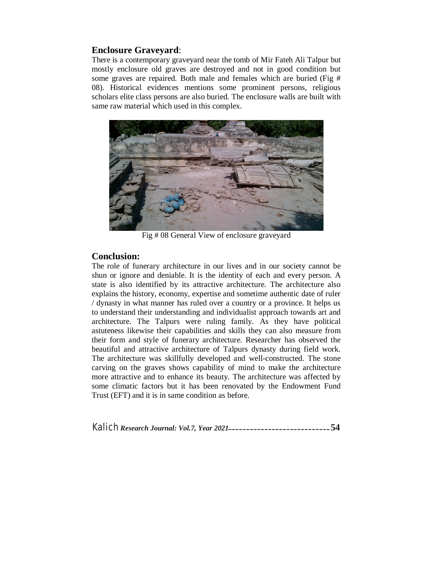# **Enclosure Graveyard**:

There is a contemporary graveyard near the tomb of Mir Fateh Ali Talpur but mostly enclosure old graves are destroyed and not in good condition but some graves are repaired. Both male and females which are buried (Fig # 08). Historical evidences mentions some prominent persons, religious scholars elite class persons are also buried. The enclosure walls are built with same raw material which used in this complex.



Fig # 08 General View of enclosure graveyard

### **Conclusion:**

The role of funerary architecture in our lives and in our society cannot be shun or ignore and deniable. It is the identity of each and every person. A state is also identified by its attractive architecture. The architecture also explains the history, economy, expertise and sometime authentic date of ruler / dynasty in what manner has ruled over a country or a province. It helps us to understand their understanding and individualist approach towards art and architecture. The Talpurs were ruling family. As they have political astuteness likewise their capabilities and skills they can also measure from their form and style of funerary architecture. Researcher has observed the beautiful and attractive architecture of Talpurs dynasty during field work. The architecture was skillfully developed and well-constructed. The stone carving on the graves shows capability of mind to make the architecture more attractive and to enhance its beauty. The architecture was affected by some climatic factors but it has been renovated by the Endowment Fund Trust (EFT) and it is in same condition as before.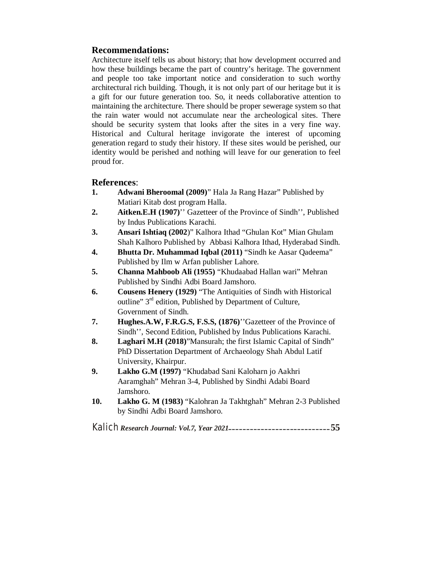# **Recommendations:**

Architecture itself tells us about history; that how development occurred and how these buildings became the part of country's heritage. The government and people too take important notice and consideration to such worthy architectural rich building. Though, it is not only part of our heritage but it is a gift for our future generation too. So, it needs collaborative attention to maintaining the architecture. There should be proper sewerage system so that the rain water would not accumulate near the archeological sites. There should be security system that looks after the sites in a very fine way. Historical and Cultural heritage invigorate the interest of upcoming generation regard to study their history. If these sites would be perished, our identity would be perished and nothing will leave for our generation to feel proud for.

### **References**:

- **1. Adwani Bheroomal (2009)**" Hala Ja Rang Hazar" Published by Matiari Kitab dost program Halla.
- **2. Aitken.E.H (1907)**'' Gazetteer of the Province of Sindh'', Published by Indus Publications Karachi.
- **3. Ansari Ishtiaq (2002**)" Kalhora Ithad "Ghulan Kot" Mian Ghulam Shah Kalhoro Published by Abbasi Kalhora Ithad, Hyderabad Sindh.
- **4. Bhutta Dr. Muhammad Iqbal (2011)** "Sindh ke Aasar Qadeema" Published by Ilm w Arfan publisher Lahore.
- **5. Channa Mahboob Ali (1955)** "Khudaabad Hallan wari" Mehran Published by Sindhi Adbi Board Jamshoro.
- **6. Cousens Henery (1929)** "The Antiquities of Sindh with Historical outline" 3rd edition, Published by Department of Culture, Government of Sindh.
- **7. Hughes.A.W, F.R.G.S, F.S.S, (1876)**''Gazetteer of the Province of Sindh'', Second Edition, Published by Indus Publications Karachi.
- **8. Laghari M.H (2018)**"Mansurah; the first Islamic Capital of Sindh" PhD Dissertation Department of Archaeology Shah Abdul Latif University, Khairpur.
- **9. Lakho G.M (1997)** "Khudabad Sani Kaloharn jo Aakhri Aaramghah" Mehran 3-4, Published by Sindhi Adabi Board Jamshoro.
- **10. Lakho G. M (1983)** "Kalohran Ja Takhtghah" Mehran 2-3 Published by Sindhi Adbi Board Jamshoro.